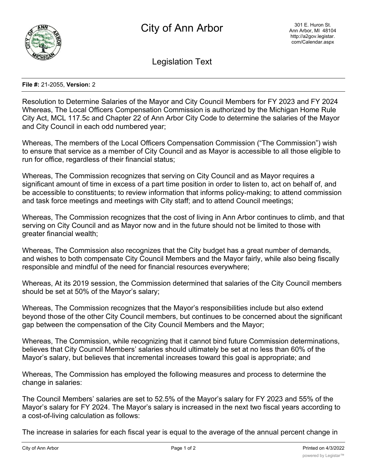

Legislation Text

## **File #:** 21-2055, **Version:** 2

Resolution to Determine Salaries of the Mayor and City Council Members for FY 2023 and FY 2024 Whereas, The Local Officers Compensation Commission is authorized by the Michigan Home Rule City Act, MCL 117.5c and Chapter 22 of Ann Arbor City Code to determine the salaries of the Mayor and City Council in each odd numbered year;

Whereas, The members of the Local Officers Compensation Commission ("The Commission") wish to ensure that service as a member of City Council and as Mayor is accessible to all those eligible to run for office, regardless of their financial status;

Whereas, The Commission recognizes that serving on City Council and as Mayor requires a significant amount of time in excess of a part time position in order to listen to, act on behalf of, and be accessible to constituents; to review information that informs policy-making; to attend commission and task force meetings and meetings with City staff; and to attend Council meetings;

Whereas, The Commission recognizes that the cost of living in Ann Arbor continues to climb, and that serving on City Council and as Mayor now and in the future should not be limited to those with greater financial wealth;

Whereas, The Commission also recognizes that the City budget has a great number of demands, and wishes to both compensate City Council Members and the Mayor fairly, while also being fiscally responsible and mindful of the need for financial resources everywhere;

Whereas, At its 2019 session, the Commission determined that salaries of the City Council members should be set at 50% of the Mayor's salary;

Whereas, The Commission recognizes that the Mayor's responsibilities include but also extend beyond those of the other City Council members, but continues to be concerned about the significant gap between the compensation of the City Council Members and the Mayor;

Whereas, The Commission, while recognizing that it cannot bind future Commission determinations, believes that City Council Members' salaries should ultimately be set at no less than 60% of the Mayor's salary, but believes that incremental increases toward this goal is appropriate; and

Whereas, The Commission has employed the following measures and process to determine the change in salaries:

The Council Members' salaries are set to 52.5% of the Mayor's salary for FY 2023 and 55% of the Mayor's salary for FY 2024. The Mayor's salary is increased in the next two fiscal years according to a cost-of-living calculation as follows:

The increase in salaries for each fiscal year is equal to the average of the annual percent change in